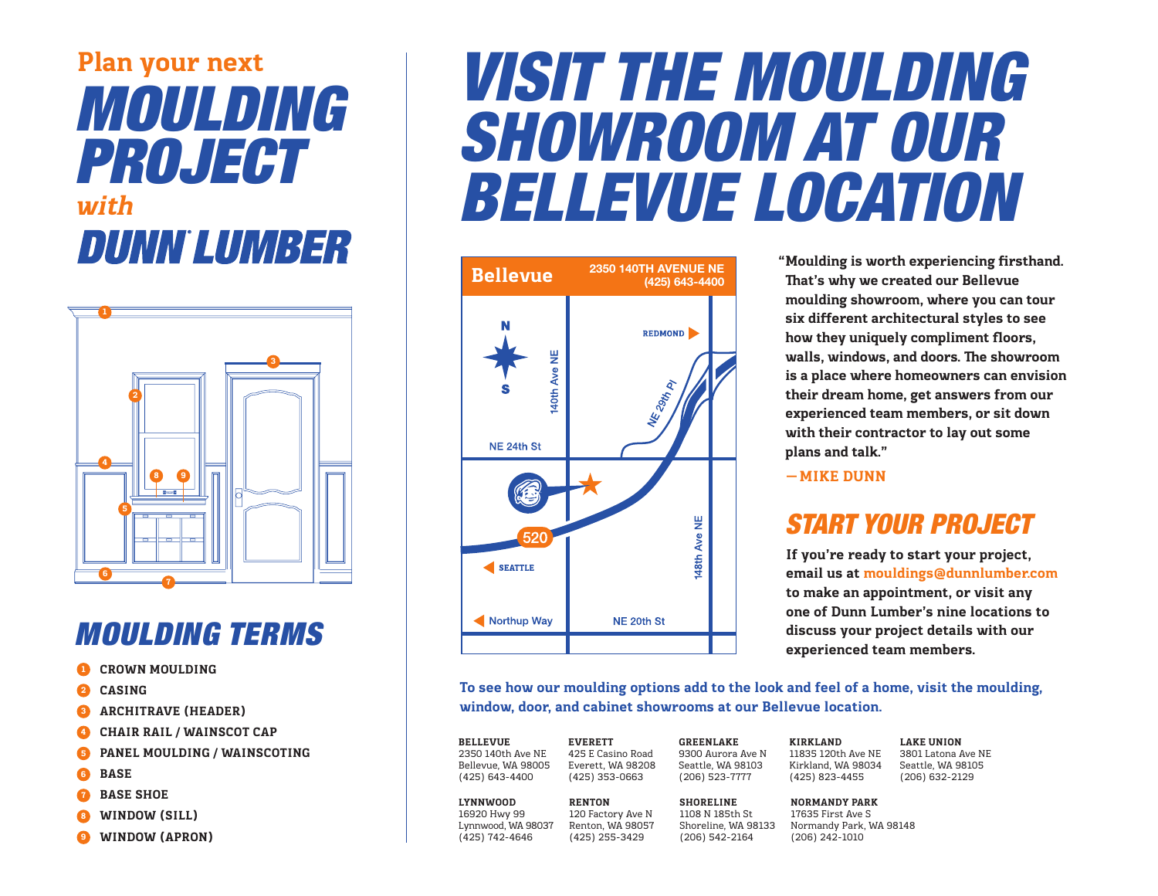## **Plan your next** *MOULDING PROJECT* **with DUNN LUMBER**



### *MOULDING TERMS*

- **1 CROWN MOULDING**
- **2 CASING**
- **3 ARCHITRAVE (HEADER)**
- **4 CHAIR RAIL / WAINSCOT CAP**
- **5 PANEL MOULDING / WAINSCOTING**
- **6 BASE**
- **7 BASE SHOE**
- **8 WINDOW (SILL)**
- **9 WINDOW (APRON)**

# *VISIT THE MOULDING SHOWROOM AT OUR BELLEVUE LOCATION*



**Moulding is worth experiencing firsthand. " That's why we created our Bellevue moulding showroom, where you can tour six different architectural styles to see how they uniquely compliment floors, walls, windows, and doors. The showroom is a place where homeowners can envision their dream home, get answers from our experienced team members, or sit down with their contractor to lay out some plans and talk."** 

**—MIKE DUNN**

### *START YOUR PROJECT*

**If you're ready to start your project, email us at mouldings@dunnlumber.com to make an appointment, or visit any one of Dunn Lumber's nine locations to discuss your project details with our experienced team members.**

**To see how our moulding options add to the look and feel of a home, visit the moulding, window, door, and cabinet showrooms at our Bellevue location.**

**BELLEVUE**  2350 140th Ave NE Bellevue, WA 98005 (425) 643-4400 **LYNNWOOD RENTON**

16920 Hwy 99 Lynnwood, WA 98037 (425) 742-4646

**EVERETT** 425 E Casino Road Everett, WA 98208 (425) 353-0663

120 Factory Ave N Renton, WA 98057 (425) 255-3429

**GREENLAKE**  9300 Aurora Ave N Seattle, WA 98103 (206) 523-7777

(206) 542-2164

**SHORELINE** 1108 N 185th St

11835 120th Ave NE Kirkland, WA 98034 (425) 823-4455 **LAKE UNION** 3801 Latona Ave NE Seattle, WA 98105 (206) 632-2129

**NORMANDY PARK**

**KIRKLAND**

Shoreline, WA 98133 Normandy Park, WA 98148 17635 First Ave S (206) 242-1010